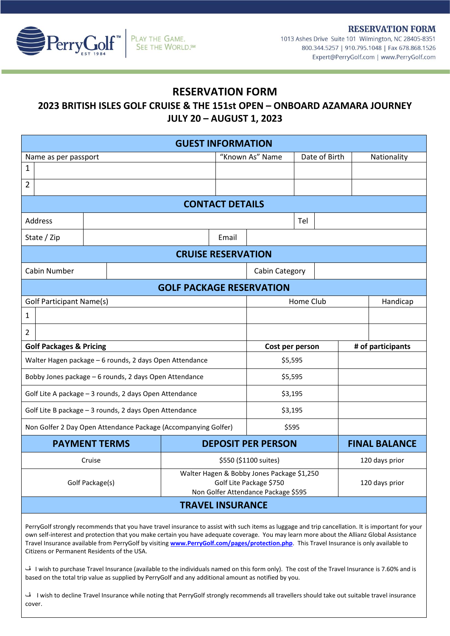**RESERVATION FORM** 



1013 Ashes Drive Suite 101 Wilmington, NC 28405-8351 800.344.5257 | 910.795.1048 | Fax 678.868.1526 Expert@PerryGolf.com | www.PerryGolf.com

## **RESERVATION FORM**

## **2023 BRITISH ISLES GOLF CRUISE & THE 151st OPEN – ONBOARD AZAMARA JOURNEY JULY 20 – AUGUST 1, 2023**

| <b>GUEST INFORMATION</b>                                       |  |  |                                                                                                              |                           |                 |               |                      |                   |             |
|----------------------------------------------------------------|--|--|--------------------------------------------------------------------------------------------------------------|---------------------------|-----------------|---------------|----------------------|-------------------|-------------|
| Name as per passport                                           |  |  |                                                                                                              | "Known As" Name           |                 | Date of Birth |                      |                   | Nationality |
| $\mathbf{1}$                                                   |  |  |                                                                                                              |                           |                 |               |                      |                   |             |
| $\overline{2}$                                                 |  |  |                                                                                                              |                           |                 |               |                      |                   |             |
| <b>CONTACT DETAILS</b>                                         |  |  |                                                                                                              |                           |                 |               |                      |                   |             |
| Address                                                        |  |  |                                                                                                              |                           |                 | Tel           |                      |                   |             |
|                                                                |  |  |                                                                                                              |                           |                 |               |                      |                   |             |
| State / Zip                                                    |  |  |                                                                                                              | Email                     |                 |               |                      |                   |             |
| <b>CRUISE RESERVATION</b>                                      |  |  |                                                                                                              |                           |                 |               |                      |                   |             |
| Cabin Number                                                   |  |  | Cabin Category                                                                                               |                           |                 |               |                      |                   |             |
| <b>GOLF PACKAGE RESERVATION</b>                                |  |  |                                                                                                              |                           |                 |               |                      |                   |             |
| <b>Golf Participant Name(s)</b>                                |  |  |                                                                                                              | Home Club                 |                 |               |                      | Handicap          |             |
| 1                                                              |  |  |                                                                                                              |                           |                 |               |                      |                   |             |
| 2                                                              |  |  |                                                                                                              |                           |                 |               |                      |                   |             |
| <b>Golf Packages &amp; Pricing</b>                             |  |  |                                                                                                              |                           | Cost per person |               |                      | # of participants |             |
| Walter Hagen package - 6 rounds, 2 days Open Attendance        |  |  |                                                                                                              |                           | \$5,595         |               |                      |                   |             |
| Bobby Jones package - 6 rounds, 2 days Open Attendance         |  |  |                                                                                                              |                           | \$5,595         |               |                      |                   |             |
| Golf Lite A package - 3 rounds, 2 days Open Attendance         |  |  |                                                                                                              |                           | \$3,195         |               |                      |                   |             |
| Golf Lite B package - 3 rounds, 2 days Open Attendance         |  |  |                                                                                                              |                           | \$3,195         |               |                      |                   |             |
| Non Golfer 2 Day Open Attendance Package (Accompanying Golfer) |  |  |                                                                                                              |                           | \$595           |               |                      |                   |             |
| <b>PAYMENT TERMS</b>                                           |  |  |                                                                                                              | <b>DEPOSIT PER PERSON</b> |                 |               | <b>FINAL BALANCE</b> |                   |             |
| Cruise                                                         |  |  |                                                                                                              | \$550 (\$1100 suites)     |                 |               |                      | 120 days prior    |             |
| Golf Package(s)                                                |  |  | Walter Hagen & Bobby Jones Package \$1,250<br>Golf Lite Package \$750<br>Non Golfer Attendance Package \$595 |                           |                 |               | 120 days prior       |                   |             |
| <b>TRAVEL INSURANCE</b>                                        |  |  |                                                                                                              |                           |                 |               |                      |                   |             |

PerryGolf strongly recommends that you have travel insurance to assist with such items as luggage and trip cancellation. It is important for your own self-interest and protection that you make certain you have adequate coverage. You may learn more about the Allianz Global Assistance Travel Insurance available from PerryGolf by visiting **[www.PerryGolf.com/pages/protection.php](http://www.perrygolf.com/pages/protection.php)**. This Travel Insurance is only available to Citizens or Permanent Residents of the USA.

ڤ I wish to purchase Travel Insurance (available to the individuals named on this form only). The cost of the Travel Insurance is 7.60% and is based on the total trip value as supplied by PerryGolf and any additional amount as notified by you.

ڤ I wish to decline Travel Insurance while noting that PerryGolf strongly recommends all travellers should take out suitable travel insurance cover.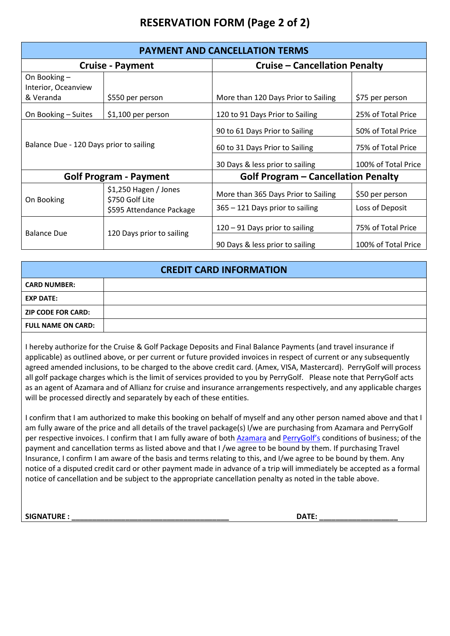# **RESERVATION FORM (Page 2 of 2)**

| <b>PAYMENT AND CANCELLATION TERMS</b>            |                                          |                                                                  |                                          |  |  |  |
|--------------------------------------------------|------------------------------------------|------------------------------------------------------------------|------------------------------------------|--|--|--|
|                                                  | <b>Cruise - Payment</b>                  | <b>Cruise - Cancellation Penalty</b>                             |                                          |  |  |  |
| On Booking -<br>Interior, Oceanview<br>& Veranda | \$550 per person                         | More than 120 Days Prior to Sailing                              | \$75 per person                          |  |  |  |
| On Booking - Suites                              | $$1,100$ per person                      | 120 to 91 Days Prior to Sailing                                  | 25% of Total Price                       |  |  |  |
| Balance Due - 120 Days prior to sailing          |                                          | 90 to 61 Days Prior to Sailing<br>60 to 31 Days Prior to Sailing | 50% of Total Price<br>75% of Total Price |  |  |  |
|                                                  |                                          | 30 Days & less prior to sailing                                  | 100% of Total Price                      |  |  |  |
|                                                  | <b>Golf Program - Payment</b>            | <b>Golf Program - Cancellation Penalty</b>                       |                                          |  |  |  |
| On Booking                                       | \$1,250 Hagen / Jones<br>\$750 Golf Lite | More than 365 Days Prior to Sailing                              | \$50 per person                          |  |  |  |
|                                                  | \$595 Attendance Package                 | 365 - 121 Days prior to sailing                                  | Loss of Deposit                          |  |  |  |
| <b>Balance Due</b>                               | 120 Days prior to sailing                | 120 - 91 Days prior to sailing                                   | 75% of Total Price                       |  |  |  |
|                                                  |                                          | 90 Days & less prior to sailing                                  | 100% of Total Price                      |  |  |  |

| <b>CREDIT CARD INFORMATION</b> |  |  |  |  |
|--------------------------------|--|--|--|--|
| <b>CARD NUMBER:</b>            |  |  |  |  |
| <b>EXP DATE:</b>               |  |  |  |  |
| <b>ZIP CODE FOR CARD:</b>      |  |  |  |  |
| <b>FULL NAME ON CARD:</b>      |  |  |  |  |

I hereby authorize for the Cruise & Golf Package Deposits and Final Balance Payments (and travel insurance if applicable) as outlined above, or per current or future provided invoices in respect of current or any subsequently agreed amended inclusions, to be charged to the above credit card. (Amex, VISA, Mastercard). PerryGolf will process all golf package charges which is the limit of services provided to you by PerryGolf. Please note that PerryGolf acts as an agent of Azamara and of Allianz for cruise and insurance arrangements respectively, and any applicable charges will be processed directly and separately by each of these entities.

I confirm that I am authorized to make this booking on behalf of myself and any other person named above and that I am fully aware of the price and all details of the travel package(s) I/we are purchasing from Azamara and PerryGolf per respective invoices. I confirm that I am fully aware of both [Azamara](https://www.azamara.com/legal-information) and [PerryGolf'](https://www.perrygolf.com/pages/terms.php)s conditions of business; of the payment and cancellation terms as listed above and that I /we agree to be bound by them. If purchasing Travel Insurance, I confirm I am aware of the basis and terms relating to this, and I/we agree to be bound by them. Any notice of a disputed credit card or other payment made in advance of a trip will immediately be accepted as a formal notice of cancellation and be subject to the appropriate cancellation penalty as noted in the table above.

**SIGNATURE : \_\_\_\_\_\_\_\_\_\_\_\_\_\_\_\_\_\_\_\_\_\_\_\_\_\_\_\_\_\_\_\_\_\_\_\_\_\_ DATE: \_\_\_\_\_\_\_\_\_\_\_\_\_\_\_\_\_\_\_**